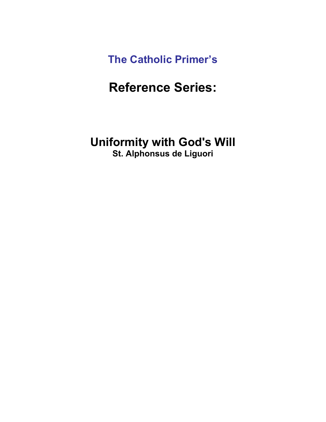**The Catholic Primer's** 

# **Reference Series:**

## **Uniformity with God's Will St. Alphonsus de Liguori**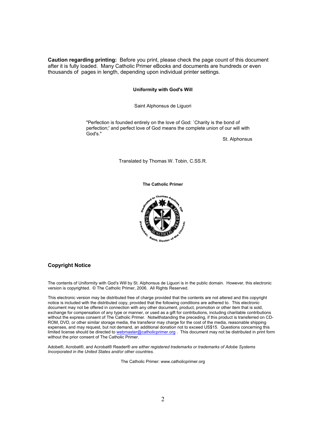**Caution regarding printing:** Before you print, please check the page count of this document after it is fully loaded. Many Catholic Primer eBooks and documents are hundreds or even thousands of pages in length, depending upon individual printer settings.

#### **Uniformity with God's Will**

Saint Alphonsus de Liguori

"Perfection is founded entirely on the love of God: `Charity is the bond of perfection;' and perfect love of God means the complete union of our will with God's."

St. Alphonsus

Translated by Thomas W. Tobin, C.SS.R.

**The Catholic Primer** 



#### **Copyright Notice**

The contents of Uniformity with God's Will by St. Alphonsus de Liguori is in the public domain. However, this electronic version is copyrighted. © The Catholic Primer, 2006. All Rights Reserved.

This electronic version may be distributed free of charge provided that the contents are not altered and this copyright notice is included with the distributed copy, provided that the following conditions are adhered to. This electronic document may not be offered in connection with any other document, product, promotion or other item that is sold, exchange for compensation of any type or manner, or used as a gift for contributions, including charitable contributions without the express consent of The Catholic Primer. Notwithstanding the preceding, if this product is transferred on CD-ROM, DVD, or other similar storage media, the transferor may charge for the cost of the media, reasonable shipping expenses, and may request, but not demand, an additional donation not to exceed US\$15. Questions concerning this limited license should be directed to [webmaster@catholicprimer.org](mailto:webmaster@catholicprimer.org) . This document may not be distributed in print form without the prior consent of The Catholic Primer.

Adobe®, Acrobat®, and Acrobat® Reader® *are either registered trademarks or trademarks of Adobe Systems Incorporated in the United States and/or other countries.*

The Catholic Primer: www.catholicprimer.org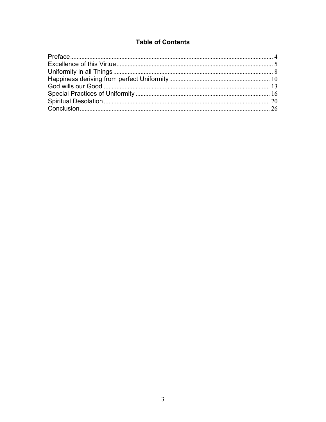### **Table of Contents**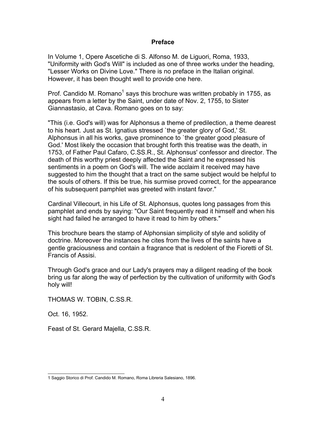#### **Preface**

<span id="page-3-0"></span>In Volume 1, Opere Ascetiche di S. Alfonso M. de Liguori, Roma, 1933, "Uniformity with God's Will" is included as one of three works under the heading, "Lesser Works on Divine Love." There is no preface in the Italian original. However, it has been thought well to provide one here.

Prof. Candido M. Romano<sup>[1](#page-3-1)</sup> says this brochure was written probably in 1755, as appears from a letter by the Saint, under date of Nov. 2, 1755, to Sister Giannastasio, at Cava. Romano goes on to say:

"This (i.e. God's will) was for Alphonsus a theme of predilection, a theme dearest to his heart. Just as St. Ignatius stressed `the greater glory of God,' St. Alphonsus in all his works, gave prominence to `the greater good pleasure of God.' Most likely the occasion that brought forth this treatise was the death, in 1753, of Father Paul Cafaro, C.SS.R., St. Alphonsus' confessor and director. The death of this worthy priest deeply affected the Saint and he expressed his sentiments in a poem on God's will. The wide acclaim it received may have suggested to him the thought that a tract on the same subject would be helpful to the souls of others. If this be true, his surmise proved correct, for the appearance of his subsequent pamphlet was greeted with instant favor."

Cardinal Villecourt, in his Life of St. Alphonsus, quotes long passages from this pamphlet and ends by saying: "Our Saint frequently read it himself and when his sight had failed he arranged to have it read to him by others."

This brochure bears the stamp of Alphonsian simplicity of style and solidity of doctrine. Moreover the instances he cites from the lives of the saints have a gentle graciousness and contain a fragrance that is redolent of the Fioretti of St. Francis of Assisi.

Through God's grace and our Lady's prayers may a diligent reading of the book bring us far along the way of perfection by the cultivation of uniformity with God's holy will!

THOMAS W. TOBIN, C.SS.R.

Oct. 16, 1952.

Feast of St. Gerard Majella, C.SS.R.

<span id="page-3-1"></span> <sup>1</sup> Saggio Storico di Prof. Candido M. Romano, Roma Libreria Salesiano, 1896.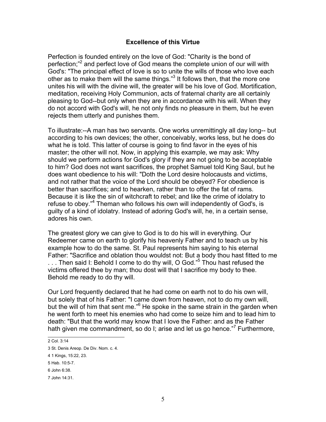#### **Excellence of this Virtue**

<span id="page-4-0"></span>Perfection is founded entirely on the love of God: "Charity is the bond of perfection;<sup>["2](#page-4-1)</sup> and perfect love of God means the complete union of our will with God's: "The principal effect of love is so to unite the wills of those who love each other as to make them will the same things."<sup>[3](#page-4-2)</sup> It follows then, that the more one unites his will with the divine will, the greater will be his love of God. Mortification, meditation, receiving Holy Communion, acts of fraternal charity are all certainly pleasing to God--but only when they are in accordance with his will. When they do not accord with God's will, he not only finds no pleasure in them, but he even rejects them utterly and punishes them.

To illustrate:--A man has two servants. One works unremittingly all day long-- but according to his own devices; the other, conceivably, works less, but he does do what he is told. This latter of course is going to find favor in the eyes of his master; the other will not. Now, in applying this example, we may ask: Why should we perform actions for God's glory if they are not going to be acceptable to him? God does not want sacrifices, the prophet Samuel told King Saul, but he does want obedience to his will: "Doth the Lord desire holocausts and victims, and not rather that the voice of the Lord should be obeyed? For obedience is better than sacrifices; and to hearken, rather than to offer the fat of rams. Because it is like the sin of witchcraft to rebel; and like the crime of idolatry to refuse to obey."<sup>4</sup> Theman who follows his own will independently of God's, is guilty of a kind of idolatry. Instead of adoring God's will, he, in a certain sense, adores his own.

The greatest glory we can give to God is to do his will in everything. Our Redeemer came on earth to glorify his heavenly Father and to teach us by his example how to do the same. St. Paul represents him saying to his eternal Father: "Sacrifice and oblation thou wouldst not: But a body thou hast fitted to me ... Then said I: Behold I come to do thy will, O God."<sup>5</sup> Thou hast refused the victims offered thee by man; thou dost will that I sacrifice my body to thee. Behold me ready to do thy will.

Our Lord frequently declared that he had come on earth not to do his own will, but solely that of his Father: "I came down from heaven, not to do my own will, but the will of him that sent me."<sup>[6](#page-4-5)</sup> He spoke in the same strain in the garden when he went forth to meet his enemies who had come to seize him and to lead him to death: "But that the world may know that I love the Father: and as the Father hath given me commandment, so do I; arise and let us go hence."<sup>[7](#page-4-6)</sup> Furthermore,

<span id="page-4-1"></span> <sup>2</sup> Col. 3:14

<span id="page-4-2"></span><sup>3</sup> St. Denis Areop. De Div. Nom. c. 4.

<span id="page-4-3"></span><sup>4 1</sup> Kings, 15:22, 23.

<span id="page-4-4"></span><sup>5</sup> Hab. 10:5-7.

<span id="page-4-5"></span><sup>6</sup> John 6:38.

<span id="page-4-6"></span><sup>7</sup> John 14:31.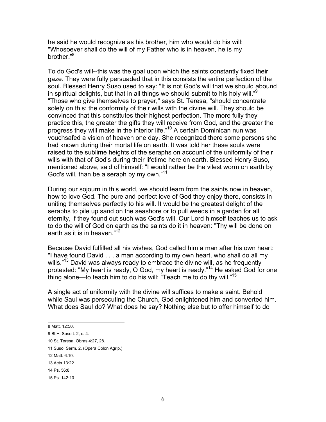he said he would recognize as his brother, him who would do his will: "Whosoever shall do the will of my Father who is in heaven, he is my brother.["8](#page-5-0)

To do God's will--this was the goal upon which the saints constantly fixed their gaze. They were fully persuaded that in this consists the entire perfection of the soul. Blessed Henry Suso used to say: "It is not God's will that we should abound in spiritual delights, but that in all things we should submit to his holy will." $\mathbb{S}$ "Those who give themselves to prayer," says St. Teresa, "should concentrate solely on this: the conformity of their wills with the divine will. They should be convinced that this constitutes their highest perfection. The more fully they practice this, the greater the gifts they will receive from God, and the greater the progress they will make in the interior life.["10](#page-5-2) A certain Dominican nun was vouchsafed a vision of heaven one day. She recognized there some persons she had known during their mortal life on earth. It was told her these souls were raised to the sublime heights of the seraphs on account of the uniformity of their wills with that of God's during their lifetime here on earth. Blessed Henry Suso, mentioned above, said of himself: "I would rather be the vilest worm on earth by God's will, than be a seraph by my own."<sup>[11](#page-5-3)</sup>

During our sojourn in this world, we should learn from the saints now in heaven, how to love God. The pure and perfect love of God they enjoy there, consists in uniting themselves perfectly to his will. It would be the greatest delight of the seraphs to pile up sand on the seashore or to pull weeds in a garden for all eternity, if they found out such was God's will. Our Lord himself teaches us to ask to do the will of God on earth as the saints do it in heaven: "Thy will be done on earth as it is in heaven." $12$ 

Because David fulfilled all his wishes, God called him a man after his own heart: "I have found David . . . a man according to my own heart, who shall do all my wills."<sup>13</sup> David was always ready to embrace the divine will, as he frequently protested: "My heart is ready, O God, my heart is ready."[14](#page-5-6) He asked God for one thing alone—to teach him to do his will: "Teach me to do thy will."<sup>[15](#page-5-7)</sup>

A single act of uniformity with the divine will suffices to make a saint. Behold while Saul was persecuting the Church, God enlightened him and converted him. What does Saul do? What does he say? Nothing else but to offer himself to do

<span id="page-5-0"></span> <sup>8</sup> Matt. 12:50.

<span id="page-5-1"></span><sup>9</sup> Bl.H. Suso L 2, c. 4.

<span id="page-5-2"></span><sup>10</sup> St. Teresa, Obras 4:27, 28.

<span id="page-5-3"></span><sup>11</sup> Suso, Serm. 2. (Opera Colon Agrip.)

<span id="page-5-4"></span><sup>12</sup> Matt. 6:10.

<span id="page-5-5"></span><sup>13</sup> Acts 13:22.

<span id="page-5-6"></span><sup>14</sup> Ps. 56:8.

<span id="page-5-7"></span><sup>15</sup> Ps. 142:10.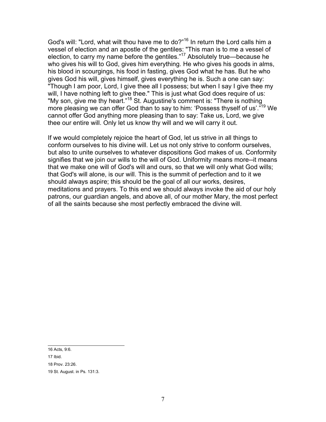God's will: "Lord, what wilt thou have me to do?"<sup>16</sup> In return the Lord calls him a vessel of election and an apostle of the gentiles: "This man is to me a vessel of election, to carry my name before the gentiles."[17](#page-6-1) Absolutely true—because he who gives his will to God, gives him everything. He who gives his goods in alms, his blood in scourgings, his food in fasting, gives God what he has. But he who gives God his will, gives himself, gives everything he is. Such a one can say: "Though I am poor, Lord, I give thee all I possess; but when I say I give thee my will, I have nothing left to give thee." This is just what God does require of us: "My son, give me thy heart."<sup>18</sup> St. Augustine's comment is: "There is nothing more pleasing we can offer God than to say to him: 'Possess thyself of us'.<sup>719</sup> We cannot offer God anything more pleasing than to say: Take us, Lord, we give thee our entire will. Only let us know thy will and we will carry it out.

If we would completely rejoice the heart of God, let us strive in all things to conform ourselves to his divine will. Let us not only strive to conform ourselves, but also to unite ourselves to whatever dispositions God makes of us. Conformity signifies that we join our wills to the will of God. Uniformity means more--it means that we make one will of God's will and ours, so that we will only what God wills; that God's will alone, is our will. This is the summit of perfection and to it we should always aspire; this should be the goal of all our works, desires, meditations and prayers. To this end we should always invoke the aid of our holy patrons, our guardian angels, and above all, of our mother Mary, the most perfect of all the saints because she most perfectly embraced the divine will.

<span id="page-6-0"></span> <sup>16</sup> Acts, 9:6.

<span id="page-6-1"></span><sup>17</sup> Ibid.

<span id="page-6-2"></span><sup>18</sup> Prov. 23:26.

<span id="page-6-3"></span><sup>19</sup> St. August. in Ps. 131:3.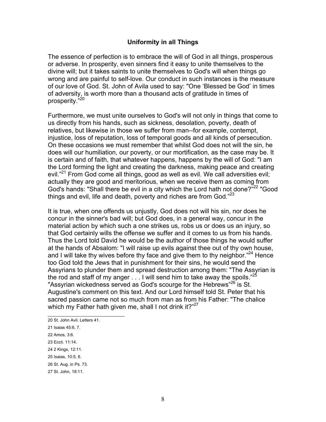#### **Uniformity in all Things**

<span id="page-7-0"></span>The essence of perfection is to embrace the will of God in all things, prosperous or adverse. In prosperity, even sinners find it easy to unite themselves to the divine will; but it takes saints to unite themselves to God's will when things go wrong and are painful to self-love. Our conduct in such instances is the measure of our love of God. St. John of Avila used to say: "One 'Blessed be God' in times of adversity, is worth more than a thousand acts of gratitude in times of prosperity.["20](#page-7-1)

Furthermore, we must unite ourselves to God's will not only in things that come to us directly from his hands, such as sickness, desolation, poverty, death of relatives, but likewise in those we suffer from man--for example, contempt, injustice, loss of reputation, loss of temporal goods and all kinds of persecution. On these occasions we must remember that whilst God does not will the sin, he does will our humiliation, our poverty, or our mortification, as the case may be. It is certain and of faith, that whatever happens, happens by the will of God: "I am the Lord forming the light and creating the darkness, making peace and creating evil."<sup>21</sup> From God come all things, good as well as evil. We call adversities evil; actually they are good and meritorious, when we receive them as coming from God's hands: "Shall there be evil in a city which the Lord hath not done?"<sup>22</sup> "Good things and evil, life and death, poverty and riches are from God." $23$ 

It is true, when one offends us unjustly, God does not will his sin, nor does he concur in the sinner's bad will; but God does, in a general way, concur in the material action by which such a one strikes us, robs us or does us an injury, so that God certainly wills the offense we suffer and it comes to us from his hands. Thus the Lord told David he would be the author of those things he would suffer at the hands of Absalom: "I will raise up evils against thee out of thy own house, and I will take thy wives before thy face and give them to thy neighbor. $^{24}$  Hence too God told the Jews that in punishment for their sins, he would send the Assyrians to plunder them and spread destruction among them: "The Assyrian is the rod and staff of my anger  $\dots$  I will send him to take away the spoils."<sup>25</sup> "Assyrian wickedness served as God's scourge for the Hebrews"<sup>26</sup> is St. Augustine's comment on this text. And our Lord himself told St. Peter that his sacred passion came not so much from man as from his Father: "The chalice which my Father hath given me, shall I not drink it?"<sup>[27](#page-7-8)</sup>

<span id="page-7-6"></span>25 Isaias, 10:5, 6.

<span id="page-7-1"></span> <sup>20</sup> St. John Avil. Letters 41.

<span id="page-7-2"></span><sup>21</sup> Isaias 45:6, 7.

<span id="page-7-3"></span><sup>22</sup> Amos, 3:6.

<span id="page-7-4"></span><sup>23</sup> Eccli. 11:14.

<span id="page-7-5"></span><sup>24 2</sup> Kings, 12:11.

<span id="page-7-7"></span><sup>26</sup> St. Aug. in Ps. 73.

<span id="page-7-8"></span><sup>27</sup> St. John, 18:11.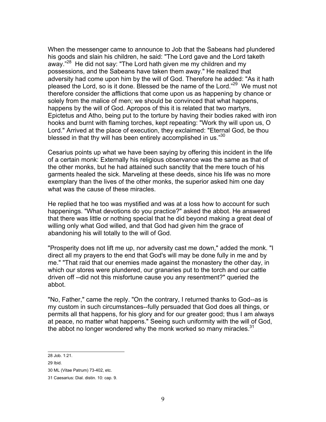When the messenger came to announce to Job that the Sabeans had plundered his goods and slain his children, he said: "The Lord gave and the Lord taketh away."<sup>28</sup> He did not say: "The Lord hath given me my children and my possessions, and the Sabeans have taken them away." He realized that adversity had come upon him by the will of God. Therefore he added: "As it hath pleased the Lord, so is it done. Blessed be the name of the Lord."<sup>29</sup> We must not therefore consider the afflictions that come upon us as happening by chance or solely from the malice of men; we should be convinced that what happens, happens by the will of God. Apropos of this it is related that two martyrs, Epictetus and Atho, being put to the torture by having their bodies raked with iron hooks and burnt with flaming torches, kept repeating: "Work thy will upon us, O Lord." Arrived at the place of execution, they exclaimed: "Eternal God, be thou blessed in that thy will has been entirely accomplished in us."<sup>30</sup>

Cesarius points up what we have been saying by offering this incident in the life of a certain monk: Externally his religious observance was the same as that of the other monks, but he had attained such sanctity that the mere touch of his garments healed the sick. Marveling at these deeds, since his life was no more exemplary than the lives of the other monks, the superior asked him one day what was the cause of these miracles.

He replied that he too was mystified and was at a loss how to account for such happenings. "What devotions do you practice?" asked the abbot. He answered that there was little or nothing special that he did beyond making a great deal of willing only what God willed, and that God had given him the grace of abandoning his will totally to the will of God.

"Prosperity does not lift me up, nor adversity cast me down," added the monk. "I direct all my prayers to the end that God's will may be done fully in me and by me." "That raid that our enemies made against the monastery the other day, in which our stores were plundered, our granaries put to the torch and our cattle driven off --did not this misfortune cause you any resentment?" queried the abbot.

"No, Father," came the reply. "On the contrary, I returned thanks to God--as is my custom in such circumstances--fully persuaded that God does all things, or permits all that happens, for his glory and for our greater good; thus I am always at peace, no matter what happens." Seeing such uniformity with the will of God, the abbot no longer wondered why the monk worked so many miracles. $31$ 

<span id="page-8-0"></span> <sup>28</sup> Job. 1:21.

<span id="page-8-1"></span><sup>29</sup> Ibid.

<span id="page-8-2"></span><sup>30</sup> ML (Vitae Patrum) 73-402, etc.

<span id="page-8-3"></span><sup>31</sup> Caesarius: Dial. distin. 10: cap. 9.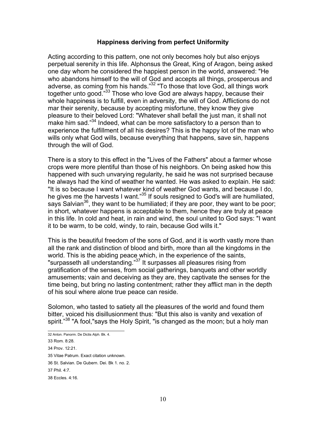#### **Happiness deriving from perfect Uniformity**

<span id="page-9-0"></span>Acting according to this pattern, one not only becomes holy but also enjoys perpetual serenity in this life. Alphonsus the Great, King of Aragon, being asked one day whom he considered the happiest person in the world, answered: "He who abandons himself to the will of God and accepts all things, prosperous and adverse, as coming from his hands."[32](#page-9-1) "To those that love God, all things work together unto good.<sup>"33</sup> Those who love God are always happy, because their whole happiness is to fulfill, even in adversity, the will of God. Afflictions do not mar their serenity, because by accepting misfortune, they know they give pleasure to their beloved Lord: "Whatever shall befall the just man, it shall not make him sad."<sup>34</sup> Indeed, what can be more satisfactory to a person than to experience the fulfillment of all his desires? This is the happy lot of the man who wills only what God wills, because everything that happens, save sin, happens through the will of God.

There is a story to this effect in the "Lives of the Fathers" about a farmer whose crops were more plentiful than those of his neighbors. On being asked how this happened with such unvarying regularity, he said he was not surprised because he always had the kind of weather he wanted. He was asked to explain. He said: "It is so because I want whatever kind of weather God wants, and because I do, he gives me the harvests I want."<sup>35</sup> If souls resigned to God's will are humiliated, says Salvian<sup>36</sup>, they want to be humiliated; if they are poor, they want to be poor; in short, whatever happens is acceptable to them, hence they are truly at peace in this life. In cold and heat, in rain and wind, the soul united to God says: "I want it to be warm, to be cold, windy, to rain, because God wills it."

This is the beautiful freedom of the sons of God, and it is worth vastly more than all the rank and distinction of blood and birth, more than all the kingdoms in the world. This is the abiding peace which, in the experience of the saints, "surpasseth all understanding."[37](#page-9-6) It surpasses all pleasures rising from gratification of the senses, from social gatherings, banquets and other worldly amusements; vain and deceiving as they are, they captivate the senses for the time being, but bring no lasting contentment; rather they afflict man in the depth of his soul where alone true peace can reside.

Solomon, who tasted to satiety all the pleasures of the world and found them bitter, voiced his disillusionment thus: "But this also is vanity and vexation of spirit."<sup>38</sup> "A fool,"says the Holy Spirit, "is changed as the moon; but a holy man

<span id="page-9-1"></span> <sup>32</sup> Anton. Panorm. De Dictis Alph. Bk. 4.

<span id="page-9-2"></span><sup>33</sup> Rom. 8:28.

<span id="page-9-3"></span><sup>34</sup> Prov. 12:21.

<span id="page-9-4"></span><sup>35</sup> Vitae Patrum. Exact citation unknown.

<span id="page-9-5"></span><sup>36</sup> St. Salvian. De Gubern. Dei. Bk 1. no. 2.

<span id="page-9-6"></span><sup>37</sup> Phil. 4:7.

<span id="page-9-7"></span><sup>38</sup> Eccles. 4:16.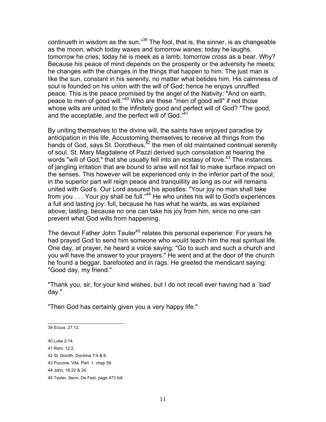continueth in wisdom as the sun."<sup>39</sup> The fool, that is, the sinner, is as changeable as the moon, which today waxes and tomorrow wanes; today he laughs, tomorrow he cries; today he is meek as a lamb, tomorrow cross as a bear. Why? Because his peace of mind depends on the prosperity or the adversity he meets; he changes with the changes in the things that happen to him. The just man is like the sun, constant in his serenity, no matter what betides him. His calmness of soul is founded on his union with the will of God; hence he enjoys unruffled peace. This is the peace promised by the angel of the Nativity: "And on earth, peace to men of good will."<sup>40</sup> Who are these "men of good will" if not those whose wills are united to the infinitely good and perfect will of God? "The good, and the acceptable, and the perfect will of God."<sup>[41](#page-10-2)</sup>

By uniting themselves to the divine will, the saints have enjoyed paradise by anticipation in this life. Accustoming themselves to receive all things from the hands of God, says St. Dorotheus,  $42$  the men of old maintained continual serenity of soul. St. Mary Magdalene of Pazzi derived such consolation at hearing the words "will of God," that she usually fell into an ecstasy of love.<sup>43</sup> The instances of jangling irritation that are bound to arise will not fail to make surface impact on the senses. This however will be experienced only in the inferior part of the soul; in the superior part will reign peace and tranquillity as long as our will remains united with God's. Our Lord assured his apostles: "Your joy no man shall take from you  $\ldots$  Your joy shall be full."<sup>44</sup> He who unites his will to God's experiences a full and lasting joy: full, because he has what he wants, as was explained above; lasting, because no one can take his joy from him, since no one can prevent what God wills from happening.

The devout Father John Tauler<sup>45</sup> relates this personal experience: For years he had prayed God to send him someone who would teach him the real spiritual life. One day, at prayer, he heard a voice saying: "Go to such and such a church and you will have the answer to your prayers." He went and at the door of the church he found a beggar, barefooted and in rags. He greeted the mendicant saying: "Good day, my friend."

"Thank you, sir, for your kind wishes, but I do not recall ever having had a `bad' day."

"Then God has certainly given you a very happy life."

<span id="page-10-0"></span> <sup>39</sup> Eccus. 27:12.

<span id="page-10-1"></span><sup>40</sup> Luke 2:14.

<span id="page-10-2"></span><sup>41</sup> Rom. 12:2.

<span id="page-10-3"></span><sup>42</sup> St. Doroth. Doctrina 7:4 & 6.

<span id="page-10-4"></span><sup>43</sup> Puccine, Vita. Part. 1. chap 59.

<span id="page-10-5"></span><sup>44</sup> John, 16:22 & 24.

<span id="page-10-6"></span><sup>45</sup> Tauler, Serm. De Fest. page 473 foll.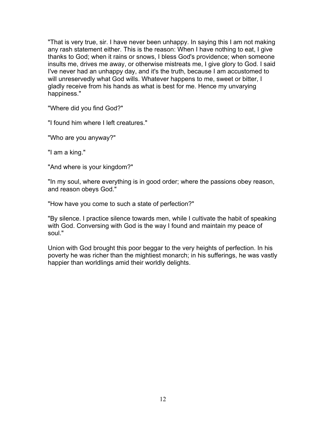"That is very true, sir. I have never been unhappy. In saying this I am not making any rash statement either. This is the reason: When I have nothing to eat, I give thanks to God; when it rains or snows, I bless God's providence; when someone insults me, drives me away, or otherwise mistreats me, I give glory to God. I said I've never had an unhappy day, and it's the truth, because I am accustomed to will unreservedly what God wills. Whatever happens to me, sweet or bitter, I gladly receive from his hands as what is best for me. Hence my unvarying happiness."

"Where did you find God?"

"I found him where I left creatures."

"Who are you anyway?"

"I am a king."

"And where is your kingdom?"

"In my soul, where everything is in good order; where the passions obey reason, and reason obeys God."

"How have you come to such a state of perfection?"

"By silence. I practice silence towards men, while I cultivate the habit of speaking with God. Conversing with God is the way I found and maintain my peace of soul."

Union with God brought this poor beggar to the very heights of perfection. In his poverty he was richer than the mightiest monarch; in his sufferings, he was vastly happier than worldlings amid their worldly delights.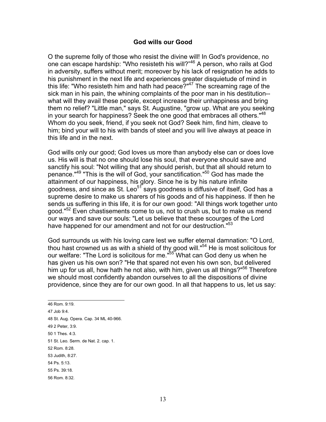#### **God wills our Good**

<span id="page-12-0"></span>O the supreme folly of those who resist the divine will! In God's providence, no one can escape hardship: "Who resisteth his will?"<sup>46</sup> A person, who rails at God in adversity, suffers without merit; moreover by his lack of resignation he adds to his punishment in the next life and experiences greater disquietude of mind in this life: "Who resisteth him and hath had peace?"<sup>47</sup> The screaming rage of the sick man in his pain, the whining complaints of the poor man in his destitution- what will they avail these people, except increase their unhappiness and bring them no relief? "Little man," says St. Augustine, "grow up. What are you seeking in your search for happiness? Seek the one good that embraces all others."<sup>[48](#page-12-3)</sup> Whom do you seek, friend, if you seek not God? Seek him, find him, cleave to him; bind your will to his with bands of steel and you will live always at peace in this life and in the next.

God wills only our good; God loves us more than anybody else can or does love us. His will is that no one should lose his soul, that everyone should save and sanctify his soul: "Not willing that any should perish, but that all should return to penance."[49](#page-12-4) "This is the will of God, your sanctification."[50](#page-12-5) God has made the attainment of our happiness, his glory. Since he is by his nature infinite goodness, and since as St. Leo<sup>51</sup> says goodness is diffusive of itself, God has a supreme desire to make us sharers of his goods and of his happiness. If then he sends us suffering in this life, it is for our own good: "All things work together unto good."<sup>52</sup> Even chastisements come to us, not to crush us, but to make us mend our ways and save our souls: "Let us believe that these scourges of the Lord have happened for our amendment and not for our destruction."<sup>[53](#page-12-8)</sup>

God surrounds us with his loving care lest we suffer eternal damnation: "O Lord, thou hast crowned us as with a shield of thy good will." $54$  He is most solicitous for our welfare: "The Lord is solicitous for me."<sup>55</sup> What can God deny us when he has given us his own son? "He that spared not even his own son, but delivered him up for us all, how hath he not also, with him, given us all things?"<sup>56</sup> Therefore we should most confidently abandon ourselves to all the dispositions of divine providence, since they are for our own good. In all that happens to us, let us say:

<span id="page-12-1"></span> <sup>46</sup> Rom. 9:19.

<span id="page-12-2"></span><sup>47</sup> Job 9:4.

<span id="page-12-3"></span><sup>48</sup> St. Aug. Opera. Cap. 34 ML 40-966.

<span id="page-12-4"></span><sup>49 2</sup> Peter, 3:9.

<span id="page-12-5"></span><sup>50 1</sup> Thes. 4:3.

<span id="page-12-6"></span><sup>51</sup> St. Leo. Serm. de Nat. 2. cap. 1.

<span id="page-12-7"></span><sup>52</sup> Rom. 8:28.

<span id="page-12-8"></span><sup>53</sup> Judith, 8:27.

<span id="page-12-9"></span><sup>54</sup> Ps. 5:13.

<span id="page-12-10"></span><sup>55</sup> Ps. 39:18.

<span id="page-12-11"></span><sup>56</sup> Rom. 8:32.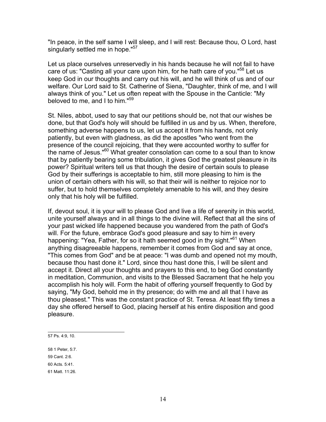"In peace, in the self same I will sleep, and I will rest: Because thou, O Lord, hast singularly settled me in hope."<sup>[57](#page-13-0)</sup>

Let us place ourselves unreservedly in his hands because he will not fail to have care of us: "Casting all your care upon him, for he hath care of you."<sup>58</sup> Let us keep God in our thoughts and carry out his will, and he will think of us and of our welfare. Our Lord said to St. Catherine of Siena, "Daughter, think of me, and I will always think of you." Let us often repeat with the Spouse in the Canticle: "My beloved to me, and I to him."[59](#page-13-2)

St. Niles, abbot, used to say that our petitions should be, not that our wishes be done, but that God's holy will should be fulfilled in us and by us. When, therefore, something adverse happens to us, let us accept it from his hands, not only patiently, but even with gladness, as did the apostles "who went from the presence of the council rejoicing, that they were accounted worthy to suffer for the name of Jesus."[60](#page-13-3) What greater consolation can come to a soul than to know that by patiently bearing some tribulation, it gives God the greatest pleasure in its power? Spiritual writers tell us that though the desire of certain souls to please God by their sufferings is acceptable to him, still more pleasing to him is the union of certain others with his will, so that their will is neither to rejoice nor to suffer, but to hold themselves completely amenable to his will, and they desire only that his holy will be fulfilled.

If, devout soul, it is your will to please God and live a life of serenity in this world, unite yourself always and in all things to the divine will. Reflect that all the sins of your past wicked life happened because you wandered from the path of God's will. For the future, embrace God's good pleasure and say to him in every happening: "Yea, Father, for so it hath seemed good in thy sight."<sup>61</sup> When anything disagreeable happens, remember it comes from God and say at once, "This comes from God" and be at peace: "I was dumb and opened not my mouth, because thou hast done it." Lord, since thou hast done this, I will be silent and accept it. Direct all your thoughts and prayers to this end, to beg God constantly in meditation, Communion, and visits to the Blessed Sacrament that he help you accomplish his holy will. Form the habit of offering yourself frequently to God by saying, "My God, behold me in thy presence; do with me and all that I have as thou pleasest." This was the constant practice of St. Teresa. At least fifty times a day she offered herself to God, placing herself at his entire disposition and good pleasure.

- <span id="page-13-2"></span>59 Cant. 2:6.
- <span id="page-13-3"></span>60 Acts. 5:41.
- <span id="page-13-4"></span>61 Matt. 11:26.

<span id="page-13-0"></span> <sup>57</sup> Ps. 4:9, 10.

<span id="page-13-1"></span><sup>58 1</sup> Peter, 5:7.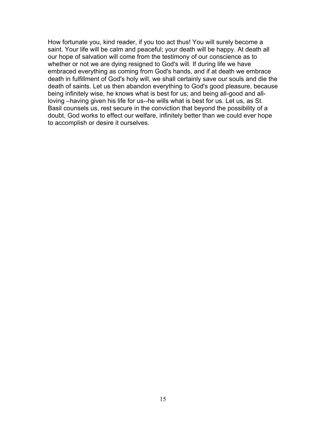How fortunate you, kind reader, if you too act thus! You will surely become a saint. Your life will be calm and peaceful; your death will be happy. At death all our hope of salvation will come from the testimony of our conscience as to whether or not we are dying resigned to God's will. If during life we have embraced everything as coming from God's hands, and if at death we embrace death in fulfillment of God's holy will, we shall certainly save our souls and die the death of saints. Let us then abandon everything to God's good pleasure, because being infinitely wise, he knows what is best for us; and being all-good and allloving –having given his life for us--he wills what is best for us. Let us, as St. Basil counsels us, rest secure in the conviction that beyond the possibility of a doubt, God works to effect our welfare, infinitely better than we could ever hope to accomplish or desire it ourselves.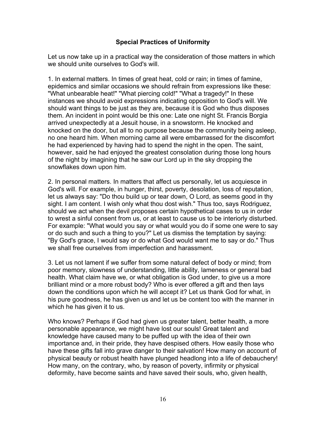#### **Special Practices of Uniformity**

<span id="page-15-0"></span>Let us now take up in a practical way the consideration of those matters in which we should unite ourselves to God's will.

1. In external matters. In times of great heat, cold or rain; in times of famine, epidemics and similar occasions we should refrain from expressions like these: "What unbearable heat!" "What piercing cold!" "What a tragedy!" In these instances we should avoid expressions indicating opposition to God's will. We should want things to be just as they are, because it is God who thus disposes them. An incident in point would be this one: Late one night St. Francis Borgia arrived unexpectedly at a Jesuit house, in a snowstorm. He knocked and knocked on the door, but all to no purpose because the community being asleep, no one heard him. When morning came all were embarrassed for the discomfort he had experienced by having had to spend the night in the open. The saint, however, said he had enjoyed the greatest consolation during those long hours of the night by imagining that he saw our Lord up in the sky dropping the snowflakes down upon him.

2. In personal matters. In matters that affect us personally, let us acquiesce in God's will. For example, in hunger, thirst, poverty, desolation, loss of reputation, let us always say: "Do thou build up or tear down, O Lord, as seems good in thy sight. I am content. I wish only what thou dost wish." Thus too, says Rodriguez, should we act when the devil proposes certain hypothetical cases to us in order to wrest a sinful consent from us, or at least to cause us to be interiorly disturbed. For example: "What would you say or what would you do if some one were to say or do such and such a thing to you?" Let us dismiss the temptation by saying: "By God's grace, I would say or do what God would want me to say or do." Thus we shall free ourselves from imperfection and harassment.

3. Let us not lament if we suffer from some natural defect of body or mind; from poor memory, slowness of understanding, little ability, lameness or general bad health. What claim have we, or what obligation is God under, to give us a more brilliant mind or a more robust body? Who is ever offered a gift and then lays down the conditions upon which he will accept it? Let us thank God for what, in his pure goodness, he has given us and let us be content too with the manner in which he has given it to us.

Who knows? Perhaps if God had given us greater talent, better health, a more personable appearance, we might have lost our souls! Great talent and knowledge have caused many to be puffed up with the idea of their own importance and, in their pride, they have despised others. How easily those who have these gifts fall into grave danger to their salvation! How many on account of physical beauty or robust health have plunged headlong into a life of debauchery! How many, on the contrary, who, by reason of poverty, infirmity or physical deformity, have become saints and have saved their souls, who, given health,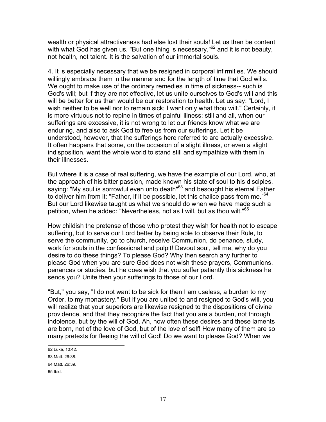wealth or physical attractiveness had else lost their souls! Let us then be content with what God has given us. "But one thing is necessary,"<sup>62</sup> and it is not beauty, not health, not talent. It is the salvation of our immortal souls.

4. It is especially necessary that we be resigned in corporal infirmities. We should willingly embrace them in the manner and for the length of time that God wills. We ought to make use of the ordinary remedies in time of sickness-- such is God's will; but if they are not effective, let us unite ourselves to God's will and this will be better for us than would be our restoration to health. Let us say: "Lord, I wish neither to be well nor to remain sick; I want only what thou wilt." Certainly, it is more virtuous not to repine in times of painful illness; still and all, when our sufferings are excessive, it is not wrong to let our friends know what we are enduring, and also to ask God to free us from our sufferings. Let it be understood, however, that the sufferings here referred to are actually excessive. It often happens that some, on the occasion of a slight illness, or even a slight indisposition, want the whole world to stand still and sympathize with them in their illnesses.

But where it is a case of real suffering, we have the example of our Lord, who, at the approach of his bitter passion, made known his state of soul to his disciples, saying: "My soul is sorrowful even unto death"<sup>63</sup> and besought his eternal Father to deliver him from it: "Father, if it be possible, let this chalice pass from me."<sup>[64](#page-16-2)</sup> But our Lord likewise taught us what we should do when we have made such a petition, when he added: "Nevertheless, not as I will, but as thou wilt."[65](#page-16-3)

How childish the pretense of those who protest they wish for health not to escape suffering, but to serve our Lord better by being able to observe their Rule, to serve the community, go to church, receive Communion, do penance, study, work for souls in the confessional and pulpit! Devout soul, tell me, why do you desire to do these things? To please God? Why then search any further to please God when you are sure God does not wish these prayers, Communions, penances or studies, but he does wish that you suffer patiently this sickness he sends you? Unite then your sufferings to those of our Lord.

"But," you say, "I do not want to be sick for then I am useless, a burden to my Order, to my monastery." But if you are united to and resigned to God's will, you will realize that your superiors are likewise resigned to the dispositions of divine providence, and that they recognize the fact that you are a burden, not through indolence, but by the will of God. Ah, how often these desires and these laments are born, not of the love of God, but of the love of self! How many of them are so many pretexts for fleeing the will of God! Do we want to please God? When we

<span id="page-16-0"></span> <sup>62</sup> Luke, 10:42.

<span id="page-16-1"></span><sup>63</sup> Matt. 26:38.

<span id="page-16-2"></span><sup>64</sup> Matt. 26:39.

<span id="page-16-3"></span><sup>65</sup> Ibid.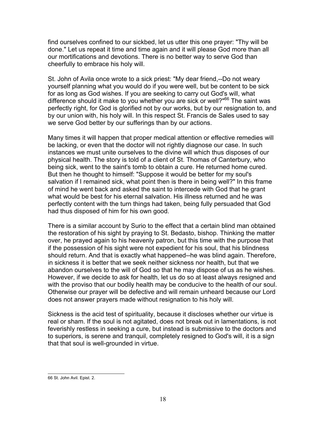find ourselves confined to our sickbed, let us utter this one prayer: "Thy will be done." Let us repeat it time and time again and it will please God more than all our mortifications and devotions. There is no better way to serve God than cheerfully to embrace his holy will.

St. John of Avila once wrote to a sick priest: "My dear friend,--Do not weary yourself planning what you would do if you were well, but be content to be sick for as long as God wishes. If you are seeking to carry out God's will, what difference should it make to you whether you are sick or well?"<sup>66</sup> The saint was perfectly right, for God is glorified not by our works, but by our resignation to, and by our union with, his holy will. In this respect St. Francis de Sales used to say we serve God better by our sufferings than by our actions.

Many times it will happen that proper medical attention or effective remedies will be lacking, or even that the doctor will not rightly diagnose our case. In such instances we must unite ourselves to the divine will which thus disposes of our physical health. The story is told of a client of St. Thomas of Canterbury, who being sick, went to the saint's tomb to obtain a cure. He returned home cured. But then he thought to himself: "Suppose it would be better for my soul's salvation if I remained sick, what point then is there in being well?" In this frame of mind he went back and asked the saint to intercede with God that he grant what would be best for his eternal salvation. His illness returned and he was perfectly content with the turn things had taken, being fully persuaded that God had thus disposed of him for his own good.

There is a similar account by Surio to the effect that a certain blind man obtained the restoration of his sight by praying to St. Bedasto, bishop. Thinking the matter over, he prayed again to his heavenly patron, but this time with the purpose that if the possession of his sight were not expedient for his soul, that his blindness should return. And that is exactly what happened--he was blind again. Therefore, in sickness it is better that we seek neither sickness nor health, but that we abandon ourselves to the will of God so that he may dispose of us as he wishes. However, if we decide to ask for health, let us do so at least always resigned and with the proviso that our bodily health may be conducive to the health of our soul. Otherwise our prayer will be defective and will remain unheard because our Lord does not answer prayers made without resignation to his holy will.

Sickness is the acid test of spirituality, because it discloses whether our virtue is real or sham. If the soul is not agitated, does not break out in lamentations, is not feverishly restless in seeking a cure, but instead is submissive to the doctors and to superiors, is serene and tranquil, completely resigned to God's will, it is a sign that that soul is well-grounded in virtue.

<span id="page-17-0"></span> <sup>66</sup> St. John Avil. Epist. 2.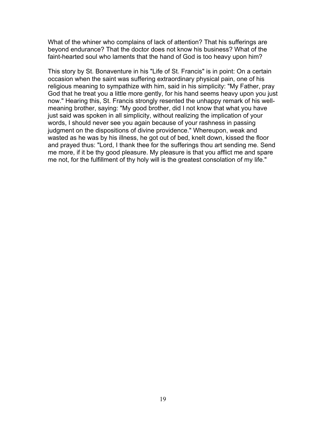What of the whiner who complains of lack of attention? That his sufferings are beyond endurance? That the doctor does not know his business? What of the faint-hearted soul who laments that the hand of God is too heavy upon him?

This story by St. Bonaventure in his "Life of St. Francis" is in point: On a certain occasion when the saint was suffering extraordinary physical pain, one of his religious meaning to sympathize with him, said in his simplicity: "My Father, pray God that he treat you a little more gently, for his hand seems heavy upon you just now." Hearing this, St. Francis strongly resented the unhappy remark of his wellmeaning brother, saying: "My good brother, did I not know that what you have just said was spoken in all simplicity, without realizing the implication of your words, I should never see you again because of your rashness in passing judgment on the dispositions of divine providence." Whereupon, weak and wasted as he was by his illness, he got out of bed, knelt down, kissed the floor and prayed thus: "Lord, I thank thee for the sufferings thou art sending me. Send me more, if it be thy good pleasure. My pleasure is that you afflict me and spare me not, for the fulfillment of thy holy will is the greatest consolation of my life."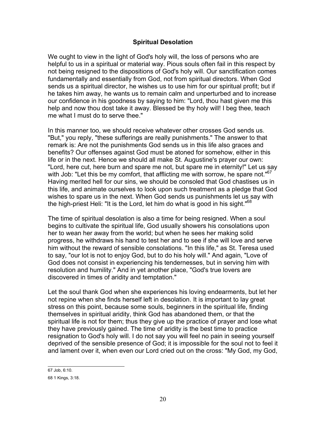#### **Spiritual Desolation**

<span id="page-19-0"></span>We ought to view in the light of God's holy will, the loss of persons who are helpful to us in a spiritual or material way. Pious souls often fail in this respect by not being resigned to the dispositions of God's holy will. Our sanctification comes fundamentally and essentially from God, not from spiritual directors. When God sends us a spiritual director, he wishes us to use him for our spiritual profit; but if he takes him away, he wants us to remain calm and unperturbed and to increase our confidence in his goodness by saying to him: "Lord, thou hast given me this help and now thou dost take it away. Blessed be thy holy will! I beg thee, teach me what I must do to serve thee."

In this manner too, we should receive whatever other crosses God sends us. "But," you reply, "these sufferings are really punishments." The answer to that remark is: Are not the punishments God sends us in this life also graces and benefits? Our offenses against God must be atoned for somehow, either in this life or in the next. Hence we should all make St. Augustine's prayer our own: "Lord, here cut, here burn and spare me not, but spare me in eternity!" Let us say with Job: "Let this be my comfort, that afflicting me with sorrow, he spare not."<sup>[67](#page-19-1)</sup> Having merited hell for our sins, we should be consoled that God chastises us in this life, and animate ourselves to look upon such treatment as a pledge that God wishes to spare us in the next. When God sends us punishments let us say with the high-priest Heli: "It is the Lord, let him do what is good in his sight."<sup>68</sup>

The time of spiritual desolation is also a time for being resigned. When a soul begins to cultivate the spiritual life, God usually showers his consolations upon her to wean her away from the world; but when he sees her making solid progress, he withdraws his hand to test her and to see if she will love and serve him without the reward of sensible consolations. "In this life," as St. Teresa used to say, "our lot is not to enjoy God, but to do his holy will." And again, "Love of God does not consist in experiencing his tendernesses, but in serving him with resolution and humility." And in yet another place, "God's true lovers are discovered in times of aridity and temptation."

Let the soul thank God when she experiences his loving endearments, but let her not repine when she finds herself left in desolation. It is important to lay great stress on this point, because some souls, beginners in the spiritual life, finding themselves in spiritual aridity, think God has abandoned them, or that the spiritual life is not for them; thus they give up the practice of prayer and lose what they have previously gained. The time of aridity is the best time to practice resignation to God's holy will. I do not say you will feel no pain in seeing yourself deprived of the sensible presence of God; it is impossible for the soul not to feel it and lament over it, when even our Lord cried out on the cross: "My God, my God,

<span id="page-19-1"></span> <sup>67</sup> Job, 6:10.

<span id="page-19-2"></span><sup>68 1</sup> Kings, 3:18.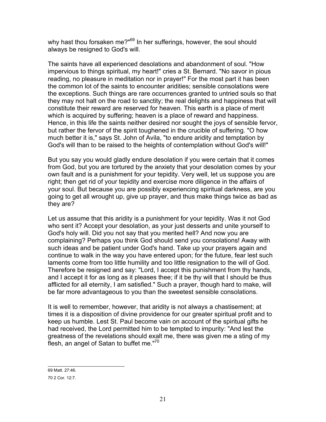why hast thou forsaken me?"<sup>69</sup> In her sufferings, however, the soul should always be resigned to God's will.

The saints have all experienced desolations and abandonment of soul. "How impervious to things spiritual, my heart!" cries a St. Bernard. "No savor in pious reading, no pleasure in meditation nor in prayer!" For the most part it has been the common lot of the saints to encounter aridities; sensible consolations were the exceptions. Such things are rare occurrences granted to untried souls so that they may not halt on the road to sanctity; the real delights and happiness that will constitute their reward are reserved for heaven. This earth is a place of merit which is acquired by suffering; heaven is a place of reward and happiness. Hence, in this life the saints neither desired nor sought the joys of sensible fervor, but rather the fervor of the spirit toughened in the crucible of suffering. "O how much better it is," says St. John of Avila, "to endure aridity and temptation by God's will than to be raised to the heights of contemplation without God's will!"

But you say you would gladly endure desolation if you were certain that it comes from God, but you are tortured by the anxiety that your desolation comes by your own fault and is a punishment for your tepidity. Very well, let us suppose you are right; then get rid of your tepidity and exercise more diligence in the affairs of your soul. But because you are possibly experiencing spiritual darkness, are you going to get all wrought up, give up prayer, and thus make things twice as bad as they are?

Let us assume that this aridity is a punishment for your tepidity. Was it not God who sent it? Accept your desolation, as your just desserts and unite yourself to God's holy will. Did you not say that you merited hell? And now you are complaining? Perhaps you think God should send you consolations! Away with such ideas and be patient under God's hand. Take up your prayers again and continue to walk in the way you have entered upon; for the future, fear lest such laments come from too little humility and too little resignation to the will of God. Therefore be resigned and say: "Lord, I accept this punishment from thy hands, and I accept it for as long as it pleases thee; if it be thy will that I should be thus afflicted for all eternity, I am satisfied." Such a prayer, though hard to make, will be far more advantageous to you than the sweetest sensible consolations.

It is well to remember, however, that aridity is not always a chastisement; at times it is a disposition of divine providence for our greater spiritual profit and to keep us humble. Lest St. Paul become vain on account of the spiritual gifts he had received, the Lord permitted him to be tempted to impurity: "And lest the greatness of the revelations should exalt me, there was given me a sting of my flesh, an angel of Satan to buffet me.["70](#page-20-1)

<span id="page-20-0"></span>69 Matt. 27:46.

<span id="page-20-1"></span><sup>70 2</sup> Cor. 12:7.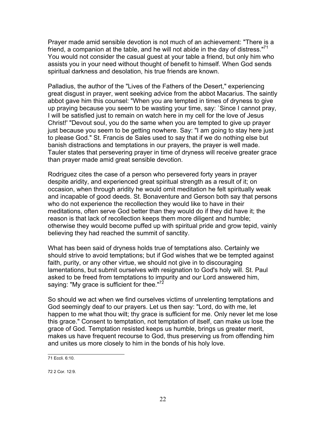Prayer made amid sensible devotion is not much of an achievement: "There is a friend, a companion at the table, and he will not abide in the day of distress." $11$ You would not consider the casual guest at your table a friend, but only him who assists you in your need without thought of benefit to himself. When God sends spiritual darkness and desolation, his true friends are known.

Palladius, the author of the "Lives of the Fathers of the Desert," experiencing great disgust in prayer, went seeking advice from the abbot Macarius. The saintly abbot gave him this counsel: "When you are tempted in times of dryness to give up praying because you seem to be wasting your time, say: `Since I cannot pray, I will be satisfied just to remain on watch here in my cell for the love of Jesus Christ!' "Devout soul, you do the same when you are tempted to give up prayer just because you seem to be getting nowhere. Say: "I am going to stay here just to please God." St. Francis de Sales used to say that if we do nothing else but banish distractions and temptations in our prayers, the prayer is well made. Tauler states that persevering prayer in time of dryness will receive greater grace than prayer made amid great sensible devotion.

Rodriguez cites the case of a person who persevered forty years in prayer despite aridity, and experienced great spiritual strength as a result of it; on occasion, when through aridity he would omit meditation he felt spiritually weak and incapable of good deeds. St. Bonaventure and Gerson both say that persons who do not experience the recollection they would like to have in their meditations, often serve God better than they would do if they did have it; the reason is that lack of recollection keeps them more diligent and humble; otherwise they would become puffed up with spiritual pride and grow tepid, vainly believing they had reached the summit of sanctity.

What has been said of dryness holds true of temptations also. Certainly we should strive to avoid temptations; but if God wishes that we be tempted against faith, purity, or any other virtue, we should not give in to discouraging lamentations, but submit ourselves with resignation to God's holy will. St. Paul asked to be freed from temptations to impurity and our Lord answered him, saying: "My grace is sufficient for thee." $72$ 

So should we act when we find ourselves victims of unrelenting temptations and God seemingly deaf to our prayers. Let us then say: "Lord, do with me, let happen to me what thou wilt; thy grace is sufficient for me. Only never let me lose this grace." Consent to temptation, not temptation of itself, can make us lose the grace of God. Temptation resisted keeps us humble, brings us greater merit, makes us have frequent recourse to God, thus preserving us from offending him and unites us more closely to him in the bonds of his holy love.

<span id="page-21-0"></span> <sup>71</sup> Eccli. 6:10.

<span id="page-21-1"></span><sup>72 2</sup> Cor. 12:9.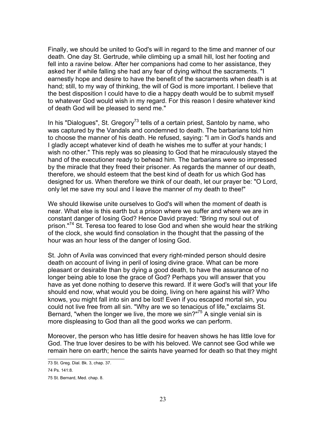Finally, we should be united to God's will in regard to the time and manner of our death. One day St. Gertrude, while climbing up a small hill, lost her footing and fell into a ravine below. After her companions had come to her assistance, they asked her if while falling she had any fear of dying without the sacraments. "I earnestly hope and desire to have the benefit of the sacraments when death is at hand; still, to my way of thinking, the will of God is more important. I believe that the best disposition I could have to die a happy death would be to submit myself to whatever God would wish in my regard. For this reason I desire whatever kind of death God will be pleased to send me."

In his "Dialogues", St. Gregory<sup>73</sup> tells of a certain priest, Santolo by name, who was captured by the Vandals and condemned to death. The barbarians told him to choose the manner of his death. He refused, saying: "I am in God's hands and I gladly accept whatever kind of death he wishes me to suffer at your hands; I wish no other." This reply was so pleasing to God that he miraculously stayed the hand of the executioner ready to behead him. The barbarians were so impressed by the miracle that they freed their prisoner. As regards the manner of our death, therefore, we should esteem that the best kind of death for us which God has designed for us. When therefore we think of our death, let our prayer be: "O Lord, only let me save my soul and I leave the manner of my death to thee!"

We should likewise unite ourselves to God's will when the moment of death is near. What else is this earth but a prison where we suffer and where we are in constant danger of losing God? Hence David prayed: "Bring my soul out of prison."<sup>74</sup> St. Teresa too feared to lose God and when she would hear the striking of the clock, she would find consolation in the thought that the passing of the hour was an hour less of the danger of losing God.

St. John of Avila was convinced that every right-minded person should desire death on account of living in peril of losing divine grace. What can be more pleasant or desirable than by dying a good death, to have the assurance of no longer being able to lose the grace of God? Perhaps you will answer that you have as yet done nothing to deserve this reward. If it were God's will that your life should end now, what would you be doing, living on here against his will? Who knows, you might fall into sin and be lost! Even if you escaped mortal sin, you could not live free from all sin. "Why are we so tenacious of life," exclaims St. Bernard, "when the longer we live, the more we sin? $175$  A single venial sin is more displeasing to God than all the good works we can perform.

Moreover, the person who has little desire for heaven shows he has little love for God. The true lover desires to be with his beloved. We cannot see God while we remain here on earth; hence the saints have yearned for death so that they might

<span id="page-22-0"></span> <sup>73</sup> St. Greg. Dial. Bk. 3, chap. 37.

<span id="page-22-1"></span><sup>74</sup> Ps. 141:8.

<span id="page-22-2"></span><sup>75</sup> St. Bernard, Med. chap. 8.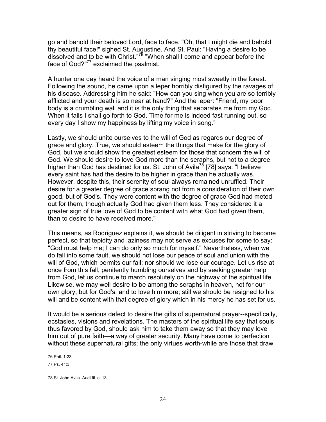go and behold their beloved Lord, face to face. "Oh, that I might die and behold thy beautiful face!" sighed St. Augustine. And St. Paul: "Having a desire to be dissolved and to be with Christ."<sup>76</sup> "When shall I come and appear before the face of God?"<sup>77</sup> exclaimed the psalmist.

A hunter one day heard the voice of a man singing most sweetly in the forest. Following the sound, he came upon a leper horribly disfigured by the ravages of his disease. Addressing him he said: "How can you sing when you are so terribly afflicted and your death is so near at hand?" And the leper: "Friend, my poor body is a crumbling wall and it is the only thing that separates me from my God. When it falls I shall go forth to God. Time for me is indeed fast running out, so every day I show my happiness by lifting my voice in song."

Lastly, we should unite ourselves to the will of God as regards our degree of grace and glory. True, we should esteem the things that make for the glory of God, but we should show the greatest esteem for those that concern the will of God. We should desire to love God more than the seraphs, but not to a degree higher than God has destined for us. St. John of Avila<sup>78</sup> [78] says: "I believe every saint has had the desire to be higher in grace than he actually was. However, despite this, their serenity of soul always remained unruffled. Their desire for a greater degree of grace sprang not from a consideration of their own good, but of God's. They were content with the degree of grace God had meted out for them, though actually God had given them less. They considered it a greater sign of true love of God to be content with what God had given them, than to desire to have received more."

This means, as Rodriguez explains it, we should be diligent in striving to become perfect, so that tepidity and laziness may not serve as excuses for some to say: "God must help me; I can do only so much for myself." Nevertheless, when we do fall into some fault, we should not lose our peace of soul and union with the will of God, which permits our fall; nor should we lose our courage. Let us rise at once from this fall, penitently humbling ourselves and by seeking greater help from God, let us continue to march resolutely on the highway of the spiritual life. Likewise, we may well desire to be among the seraphs in heaven, not for our own glory, but for God's, and to love him more; still we should be resigned to his will and be content with that degree of glory which in his mercy he has set for us.

It would be a serious defect to desire the gifts of supernatural prayer--specifically, ecstasies, visions and revelations. The masters of the spiritual life say that souls thus favored by God, should ask him to take them away so that they may love him out of pure faith—a way of greater security. Many have come to perfection without these supernatural gifts; the only virtues worth-while are those that draw

<span id="page-23-0"></span> <sup>76</sup> Phil. 1:23.

<span id="page-23-1"></span><sup>77</sup> Ps. 41:3.

<span id="page-23-2"></span><sup>78</sup> St. John Avila. Audi fil. c. 13.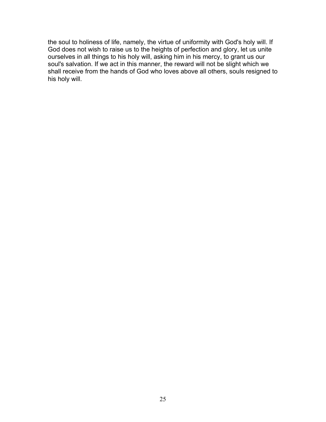the soul to holiness of life, namely, the virtue of uniformity with God's holy will. If God does not wish to raise us to the heights of perfection and glory, let us unite ourselves in all things to his holy will, asking him in his mercy, to grant us our soul's salvation. If we act in this manner, the reward will not be slight which we shall receive from the hands of God who loves above all others, souls resigned to his holy will.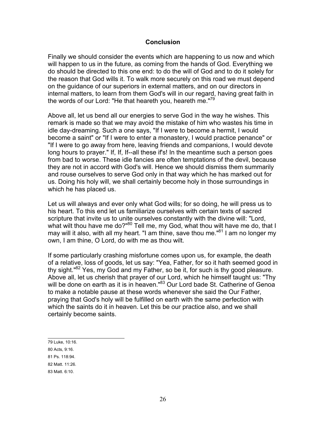#### **Conclusion**

<span id="page-25-0"></span>Finally we should consider the events which are happening to us now and which will happen to us in the future, as coming from the hands of God. Everything we do should be directed to this one end: to do the will of God and to do it solely for the reason that God wills it. To walk more securely on this road we must depend on the guidance of our superiors in external matters, and on our directors in internal matters, to learn from them God's will in our regard, having great faith in the words of our Lord: "He that heareth you, heareth me."<sup>[79](#page-25-1)</sup>

Above all, let us bend all our energies to serve God in the way he wishes. This remark is made so that we may avoid the mistake of him who wastes his time in idle day-dreaming. Such a one says, "If I were to become a hermit, I would become a saint" or "If I were to enter a monastery, I would practice penance" or "If I were to go away from here, leaving friends and companions, I would devote long hours to prayer." If, If, If--all these if's! In the meantime such a person goes from bad to worse. These idle fancies are often temptations of the devil, because they are not in accord with God's will. Hence we should dismiss them summarily and rouse ourselves to serve God only in that way which he has marked out for us. Doing his holy will, we shall certainly become holy in those surroundings in which he has placed us.

Let us will always and ever only what God wills; for so doing, he will press us to his heart. To this end let us familiarize ourselves with certain texts of sacred scripture that invite us to unite ourselves constantly with the divine will: "Lord, what wilt thou have me do?"<sup>80</sup> Tell me, my God, what thou wilt have me do, that I may will it also, with all my heart. "I am thine, save thou me."<sup>81</sup> I am no longer my own, I am thine, O Lord, do with me as thou wilt.

If some particularly crashing misfortune comes upon us, for example, the death of a relative, loss of goods, let us say: "Yea, Father, for so it hath seemed good in thy sight." $82$  Yes, my God and my Father, so be it, for such is thy good pleasure. Above all, let us cherish that prayer of our Lord, which he himself taught us: "Thy will be done on earth as it is in heaven."<sup>83</sup> Our Lord bade St. Catherine of Genoa to make a notable pause at these words whenever she said the Our Father, praying that God's holy will be fulfilled on earth with the same perfection with which the saints do it in heaven. Let this be our practice also, and we shall certainly become saints.

- <span id="page-25-2"></span>80 Acts, 9:16.
- <span id="page-25-3"></span>81 Ps. 118:94.
- <span id="page-25-4"></span>82 Matt. 11:26.
- <span id="page-25-5"></span>83 Matt. 6:10.

<span id="page-25-1"></span> <sup>79</sup> Luke, 10:16.